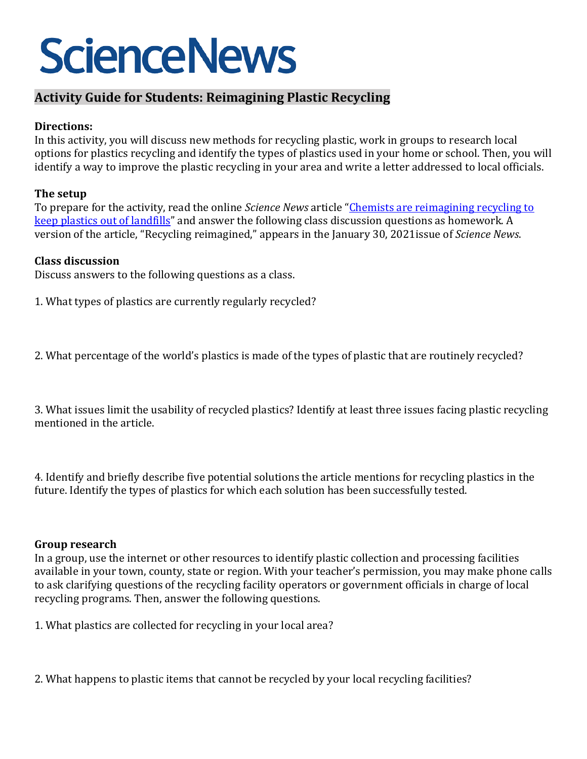# **ScienceNews**

# **Activity Guide for Students: Reimagining Plastic Recycling**

# **Directions:**

In this activity, you will discuss new methods for recycling plastic, work in groups to research local options for plastics recycling and identify the types of plastics used in your home or school. Then, you will identify a way to improve the plastic recycling in your area and write a letter addressed to local officials.

#### **The setup**

To prepare for the activity, read the online *Science News* article ["Chemists are reimagining recycling to](https://www.sciencenews.org/article/chemistry-recycling-plastic-landfills-trash-materials)  [keep plastics out of landfills"](https://www.sciencenews.org/article/chemistry-recycling-plastic-landfills-trash-materials) and answer the following class discussion questions as homework. A version of the article, "Recycling reimagined," appears in the January 30, 2021issue of *Science News*.

# **Class discussion**

Discuss answers to the following questions as a class.

1. What types of plastics are currently regularly recycled?

2. What percentage of the world's plastics is made of the types of plastic that are routinely recycled?

3. What issues limit the usability of recycled plastics? Identify at least three issues facing plastic recycling mentioned in the article.

4. Identify and briefly describe five potential solutions the article mentions for recycling plastics in the future. Identify the types of plastics for which each solution has been successfully tested.

#### **Group research**

In a group, use the internet or other resources to identify plastic collection and processing facilities available in your town, county, state or region. With your teacher's permission, you may make phone calls to ask clarifying questions of the recycling facility operators or government officials in charge of local recycling programs. Then, answer the following questions.

1. What plastics are collected for recycling in your local area?

2. What happens to plastic items that cannot be recycled by your local recycling facilities?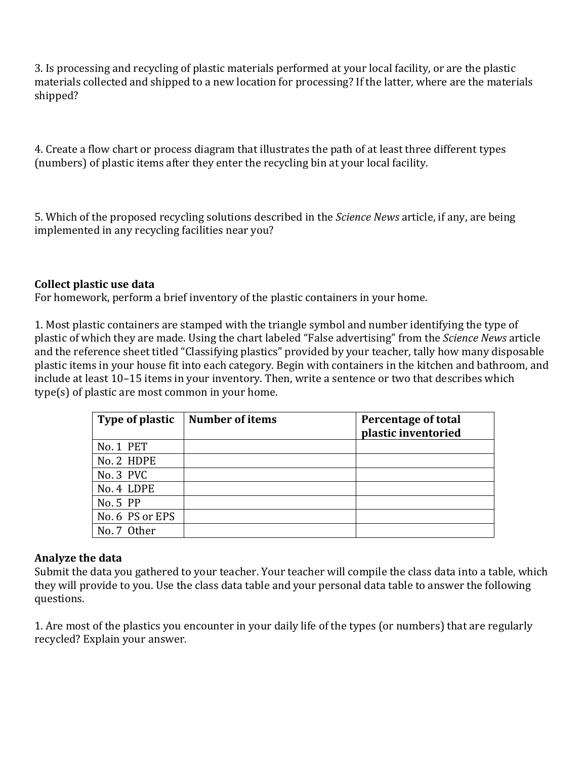3. Is processing and recycling of plastic materials performed at your local facility, or are the plastic materials collected and shipped to a new location for processing? If the latter, where are the materials shipped?

4. Create a flow chart or process diagram that illustrates the path of at least three different types (numbers) of plastic items after they enter the recycling bin at your local facility.

5. Which of the proposed recycling solutions described in the *Science News* article, if any, are being implemented in any recycling facilities near you?

# **Collect plastic use data**

For homework, perform a brief inventory of the plastic containers in your home.

1. Most plastic containers are stamped with the triangle symbol and number identifying the type of plastic of which they are made. Using the chart labeled "False advertising" from the *Science News* article and the reference sheet titled "Classifying plastics" provided by your teacher, tally how many disposable plastic items in your house fit into each category. Begin with containers in the kitchen and bathroom, and include at least 10–15 items in your inventory. Then, write a sentence or two that describes which type(s) of plastic are most common in your home.

| Type of plastic | <b>Number of items</b> | Percentage of total<br>plastic inventoried |
|-----------------|------------------------|--------------------------------------------|
| No. 1 PET       |                        |                                            |
| No. 2 HDPE      |                        |                                            |
| No. 3 PVC       |                        |                                            |
| No. 4 LDPE      |                        |                                            |
| No. 5 PP        |                        |                                            |
| No. 6 PS or EPS |                        |                                            |
| No. 7 Other     |                        |                                            |

#### **Analyze the data**

Submit the data you gathered to your teacher. Your teacher will compile the class data into a table, which they will provide to you. Use the class data table and your personal data table to answer the following questions.

1. Are most of the plastics you encounter in your daily life of the types (or numbers) that are regularly recycled? Explain your answer.